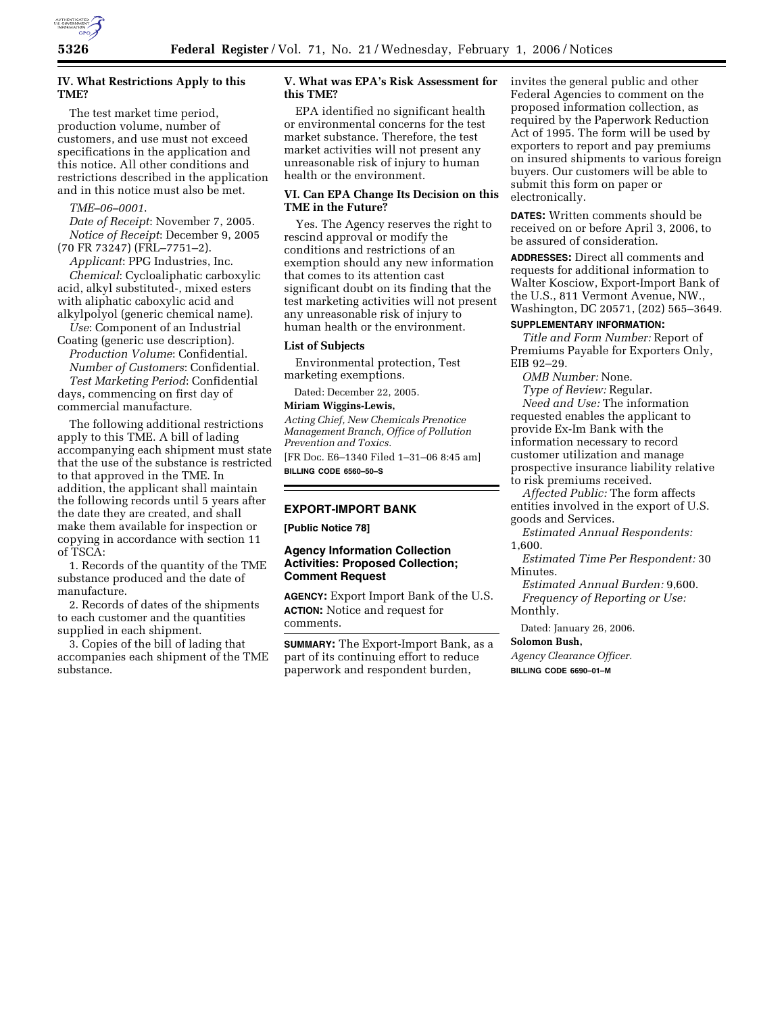

# **IV. What Restrictions Apply to this TME?**

The test market time period, production volume, number of customers, and use must not exceed specifications in the application and this notice. All other conditions and restrictions described in the application and in this notice must also be met.

#### *TME–06–0001*.

*Date of Receipt*: November 7, 2005. *Notice of Receipt*: December 9, 2005 (70 FR 73247) (FRL–7751–2).

*Applicant*: PPG Industries, Inc. *Chemical*: Cycloaliphatic carboxylic acid, alkyl substituted-, mixed esters with aliphatic caboxylic acid and alkylpolyol (generic chemical name).

*Use*: Component of an Industrial Coating (generic use description).

*Production Volume*: Confidential. *Number of Customers*: Confidential. *Test Marketing Period*: Confidential days, commencing on first day of commercial manufacture.

The following additional restrictions apply to this TME. A bill of lading accompanying each shipment must state that the use of the substance is restricted to that approved in the TME. In addition, the applicant shall maintain the following records until 5 years after the date they are created, and shall make them available for inspection or copying in accordance with section 11 of TSCA:

1. Records of the quantity of the TME substance produced and the date of manufacture.

2. Records of dates of the shipments to each customer and the quantities supplied in each shipment.

3. Copies of the bill of lading that accompanies each shipment of the TME substance.

### **V. What was EPA's Risk Assessment for this TME?**

EPA identified no significant health or environmental concerns for the test market substance. Therefore, the test market activities will not present any unreasonable risk of injury to human health or the environment.

### **VI. Can EPA Change Its Decision on this TME in the Future?**

Yes. The Agency reserves the right to rescind approval or modify the conditions and restrictions of an exemption should any new information that comes to its attention cast significant doubt on its finding that the test marketing activities will not present any unreasonable risk of injury to human health or the environment.

#### **List of Subjects**

Environmental protection, Test marketing exemptions.

Dated: December 22, 2005.

### **Miriam Wiggins-Lewis,**

*Acting Chief, New Chemicals Prenotice Management Branch, Office of Pollution Prevention and Toxics.* 

[FR Doc. E6–1340 Filed 1–31–06 8:45 am] **BILLING CODE 6560–50–S** 

### **EXPORT-IMPORT BANK**

**[Public Notice 78]** 

## **Agency Information Collection Activities: Proposed Collection; Comment Request**

**AGENCY:** Export Import Bank of the U.S. **ACTION:** Notice and request for comments.

**SUMMARY:** The Export-Import Bank, as a part of its continuing effort to reduce paperwork and respondent burden,

invites the general public and other Federal Agencies to comment on the proposed information collection, as required by the Paperwork Reduction Act of 1995. The form will be used by exporters to report and pay premiums on insured shipments to various foreign buyers. Our customers will be able to submit this form on paper or electronically.

**DATES:** Written comments should be received on or before April 3, 2006, to be assured of consideration.

**ADDRESSES:** Direct all comments and requests for additional information to Walter Kosciow, Export-Import Bank of the U.S., 811 Vermont Avenue, NW., Washington, DC 20571, (202) 565–3649.

# **SUPPLEMENTARY INFORMATION:**

*Title and Form Number:* Report of Premiums Payable for Exporters Only, EIB 92–29.

*OMB Number:* None.

*Type of Review:* Regular. *Need and Use:* The information requested enables the applicant to provide Ex-Im Bank with the information necessary to record customer utilization and manage prospective insurance liability relative to risk premiums received.

*Affected Public:* The form affects entities involved in the export of U.S. goods and Services.

*Estimated Annual Respondents:*  1,600.

*Estimated Time Per Respondent:* 30 Minutes.

*Estimated Annual Burden:* 9,600. *Frequency of Reporting or Use:*  Monthly.

Dated: January 26, 2006.

#### **Solomon Bush,**

*Agency Clearance Officer.*  **BILLING CODE 6690–01–M**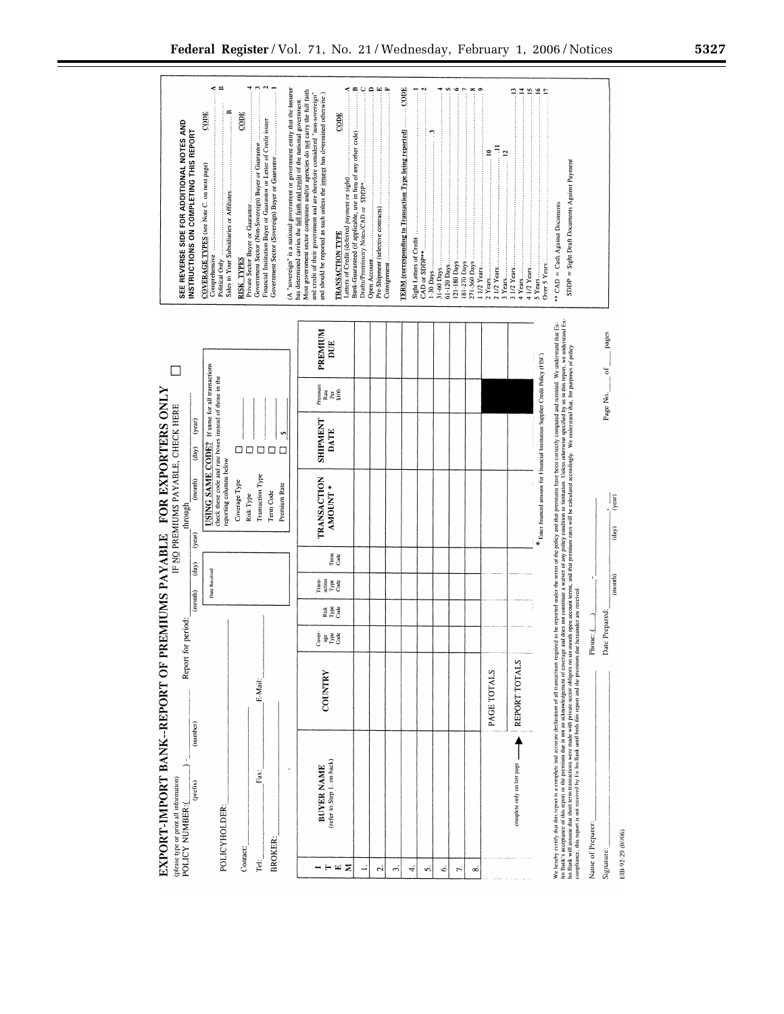$\leq$   $\approx$ (A "sovereign" is a national government or government entity that the insurer has determined carries the  $\frac{\text{full}}{\text{shift}}$  and  $\frac{\text{null}}{\text{split}}$  and  $\frac{\text{null}}{\text{split}}$  and  $\frac{\text{null}}{\text{split}}$  and  $\frac{\text{null}}{\text{split}}$  and  $\frac{\text{null}}{\text{split}}$  and  $\$ k⊞oo⊞≊ CODE serc CODE  $CODE$  $CODE$ Government Sector (Non-Sovereign) Buyer or Guarantor ...............<br>Financial Institution Buyer or Guarantor or Letter of Credit issuer **SEE REVERSE SIDE FOR ADDITIONAL NOTES AND<br>INSTRUCTIONS ON COMPLETING THIS REPORT** Letters of Credit (deferred payment or sight)<br>
Draits/Promissory Nones/CAD or SDDP+ of any other code)<br>
Draits/Promissory Nones/CAD or SDDP+ of any other code)<br>
Open Account.<br>
Consignment (selective contracts) **TERM** (corresponding to Transaction Type being reported)  $e^{\frac{\pi}{2}}$ Government Sector (Sovereign) Buyer or Guarantor  $SDDP = Sight Data Documents Against Payment$ COVERAGE TYPES (see Note C. on next page) Comprehensive<br>Political Only<br>Sales to Your Subsidiaries or Affiliates. \*\*  $CAD = Cash$  Against Documents Private Sector Buyer or Guarantor **TRANSACTION TYPE** Sight Letters of Credit.<br>CAD or SDDP\*\*.......... **RISK TYPES**  $\begin{array}{l} 31-60 \ \mathrm{Days} \\ 61-120 \ \mathrm{Days} \\ 121-180 \ \mathrm{Days} \\ 181-270 \ \mathrm{Days} \\ 181-270 \ \mathrm{Days} \\ 271-360 \ \mathrm{Days} \end{array}.$ Over 5 Years 11/2 Years. 2 1/2 Years. 3 1/2 Years. 1-30 Days. 3 Years.. 2 Years. 5 Years We hereby cerify that this report is a complete and accurate declaration of all transfer to the proposed in the remote that premiums have been correctly computed and remind. We understand that Executive Archives in this re PREMIUM<br>DUE Enter financed amount for Financial Institution Supplier Credit Policy (FISC) USING SAME CODE? If same for all transactions<br>check these code and rate boxes instead of those in the<br>reporting columns below  $\Box$ Premium<br>Rate<br>S100<br>S100 EXPORT-IMPORT BANK-REPORT OF PREMIUMS PAYABLE FOR EXPORTERS ONLY IF NO PREMIUMS PAYABLE, CHECK HERE SHIPMENT<br>DATE  $(year)$ s,  $\frac{(\text{day})}{\text{day}}$ 00000 TRANSACTION<br>AMOUNT \* Transaction Type  $(m \circ n \cdot h)$ Coverage Type Premium Rate Risk Type Term Code through  $(year)$ Term<br>Code  $\overline{\text{(day)}}$ Date Received Trans-<br>Type<br>Code  $(m \circ n \mathbf{d})$ Risk<br>Type<br>Code Report for period: Phone: ( j se se de<br>C REPORT TOTALS COUNTRY PAGE TOTALS E-Mail: (number)  $\uparrow$ BUYER NAME<br>(refer to Step 1, on back) complete only on last page  $\ddot{\phantom{0}}$ Fax:  $\begin{array}{l}{\rm (phase\; type\; or\; print\; all\; information)}\\{\rm POLICY\; NUMBER:} \end{array}$  $(prefix)$ POLICYHOLDER: Name of Preparer **BROKER:** Contact:  $\overleftrightarrow{\text{rel}}$  $- $\omega$$  $\overline{a}$  $\sim$  $\vec{r}$  $\ddot{ }$  $\overline{5}$  $\acute{\circ}$  $\boldsymbol{\tau}$  $\infty$ 

 $rac{1}{\sqrt{2}}$  $\frac{1}{(day)}$  $(morth)$ Date Prepared: Signature:

pages  $\frac{1}{2}$ 

Page No.

EIB-92-29 (0//06)